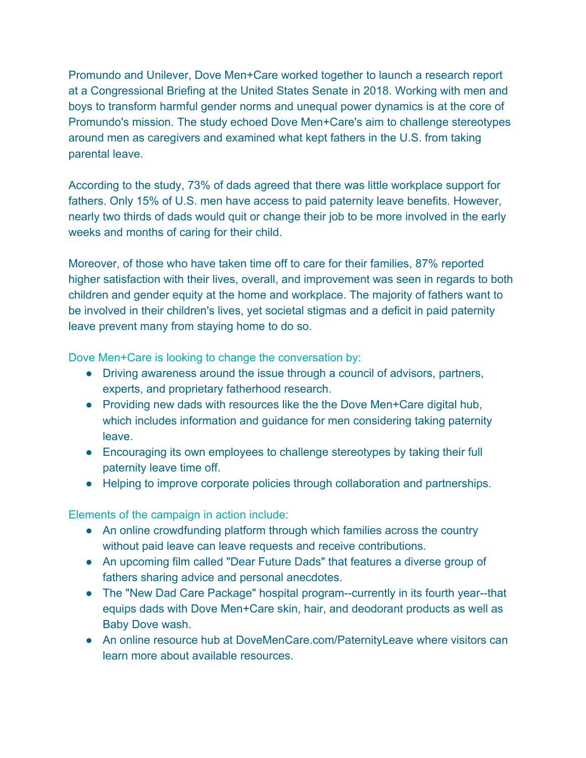Promundo and Unilever, Dove Men+Care worked together to launch a research report at a Congressional Briefing at the United States Senate in 2018. Working with men and boys to transform harmful gender norms and unequal power dynamics is at the core of Promundo's mission. The study echoed Dove Men+Care's aim to challenge stereotypes around men as caregivers and examined what kept fathers in the U.S. from taking parental leave.

According to the study, 73% of dads agreed that there was little workplace support for fathers. Only 15% of U.S. men have access to paid paternity leave benefits. However, nearly two thirds of dads would quit or change their job to be more involved in the early weeks and months of caring for their child.

Moreover, of those who have taken time off to care for their families, 87% reported higher satisfaction with their lives, overall, and improvement was seen in regards to both children and gender equity at the home and workplace. The majority of fathers want to be involved in their children's lives, yet societal stigmas and a deficit in paid paternity leave prevent many from staying home to do so.

Dove Men+Care is looking to change the conversation by:

- Driving awareness around the issue through a council of advisors, partners, experts, and proprietary fatherhood research.
- Providing new dads with resources like the the Dove Men+Care digital hub, which includes information and guidance for men considering taking paternity leave.
- Encouraging its own employees to challenge stereotypes by taking their full paternity leave time off.
- Helping to improve corporate policies through collaboration and partnerships.

Elements of the campaign in action include:

- An online crowdfunding platform through which families across the country without paid leave can leave requests and receive contributions.
- An upcoming film called "Dear Future Dads" that features a diverse group of fathers sharing advice and personal anecdotes.
- The "New Dad Care Package" hospital program--currently in its fourth year--that equips dads with Dove Men+Care skin, hair, and deodorant products as well as Baby Dove wash.
- An online resource hub at DoveMenCare.com/PaternityLeave where visitors can learn more about available resources.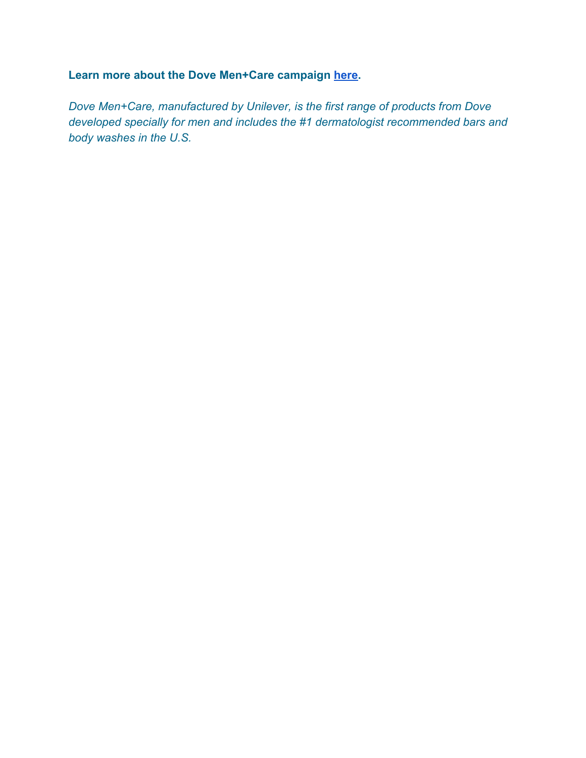## **Learn more about the Dove Men+Care campaign [here](https://www.prnewswire.com/news-releases/dove-mencare-champions-paternity-leave-for-all-dads-this-fathers-day-300659167.html).**

*Dove Men+Care, manufactured by Unilever, is the first range of products from Dove developed specially for men and includes the #1 dermatologist recommended bars and body washes in the U.S.*